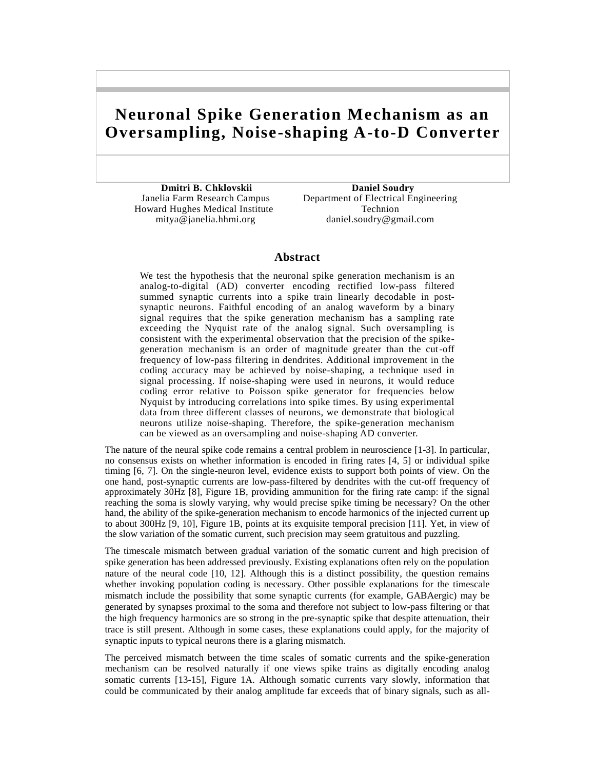# **Neuronal Spike Generation Mechanism as an Oversampling, Noise-shaping A-to-D Converter**

**Dmitri B. Chklovskii Daniel Soudry** Howard Hughes Medical Institute Technion

 Janelia Farm Research Campus Department of Electrical Engineering mitya@janelia.hhmi.org daniel.soudry@gmail.com

# **Abstract**

We test the hypothesis that the neuronal spike generation mechanism is an analog-to-digital (AD) converter encoding rectified low-pass filtered summed synaptic currents into a spike train linearly decodable in postsynaptic neurons. Faithful encoding of an analog waveform by a binary signal requires that the spike generation mechanism has a sampling rate exceeding the Nyquist rate of the analog signal. Such oversampling is consistent with the experimental observation that the precision of the spikegeneration mechanism is an order of magnitude greater than the cut-off frequency of low-pass filtering in dendrites. Additional improvement in the coding accuracy may be achieved by noise-shaping, a technique used in signal processing. If noise-shaping were used in neurons, it would reduce coding error relative to Poisson spike generator for frequencies below Nyquist by introducing correlations into spike times. By using experimental data from three different classes of neurons, we demonstrate that biological neurons utilize noise-shaping. Therefore, the spike-generation mechanism can be viewed as an oversampling and noise-shaping AD converter.

The nature of the neural spike code remains a central problem in neuroscience [\[1-3\]](#page-7-0). In particular, no consensus exists on whether information is encoded in firing rates [\[4,](#page-7-1) [5\]](#page-7-2) or individual spike timing [\[6,](#page-7-3) [7\]](#page-7-4). On the single-neuron level, evidence exists to support both points of view. On the one hand, post-synaptic currents are low-pass-filtered by dendrites with the cut-off frequency of approximately 30Hz [\[8\]](#page-7-5), Figure 1B, providing ammunition for the firing rate camp: if the signal reaching the soma is slowly varying, why would precise spike timing be necessary? On the other hand, the ability of the spike-generation mechanism to encode harmonics of the injected current up to about 300Hz [\[9,](#page-7-6) [10\]](#page-7-7), Figure 1B, points at its exquisite temporal precision [\[11\]](#page-7-8). Yet, in view of the slow variation of the somatic current, such precision may seem gratuitous and puzzling.

The timescale mismatch between gradual variation of the somatic current and high precision of spike generation has been addressed previously. Existing explanations often rely on the population nature of the neural code [\[10,](#page-7-7) [12\]](#page-7-9). Although this is a distinct possibility, the question remains whether invoking population coding is necessary. Other possible explanations for the timescale mismatch include the possibility that some synaptic currents (for example, GABAergic) may be generated by synapses proximal to the soma and therefore not subject to low-pass filtering or that the high frequency harmonics are so strong in the pre-synaptic spike that despite attenuation, their trace is still present. Although in some cases, these explanations could apply, for the majority of synaptic inputs to typical neurons there is a glaring mismatch.

The perceived mismatch between the time scales of somatic currents and the spike-generation mechanism can be resolved naturally if one views spike trains as digitally encoding analog somatic currents [\[13-15\]](#page-7-10), Figure 1A. Although somatic currents vary slowly, information that could be communicated by their analog amplitude far exceeds that of binary signals, such as all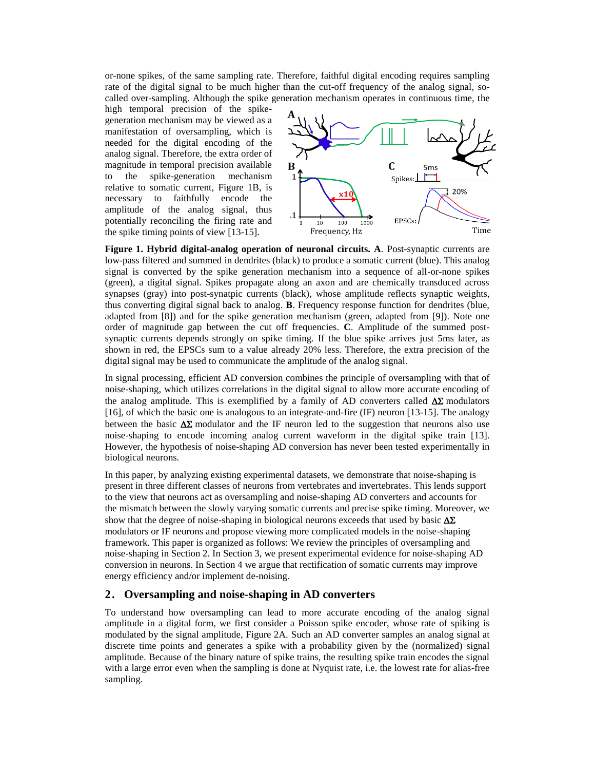or-none spikes, of the same sampling rate. Therefore, faithful digital encoding requires sampling rate of the digital signal to be much higher than the cut-off frequency of the analog signal, socalled over-sampling. Although the spike generation mechanism operates in continuous time, the

high temporal precision of the spikegeneration mechanism may be viewed as a manifestation of oversampling, which is needed for the digital encoding of the analog signal. Therefore, the extra order of magnitude in temporal precision available to the spike-generation mechanism relative to somatic current, Figure 1B, is necessary to faithfully encode the amplitude of the analog signal, thus potentially reconciling the firing rate and the spike timing points of view [\[13-15\]](#page-7-10).



**Figure 1. Hybrid digital-analog operation of neuronal circuits. A**. Post-synaptic currents are low-pass filtered and summed in dendrites (black) to produce a somatic current (blue). This analog signal is converted by the spike generation mechanism into a sequence of all-or-none spikes (green), a digital signal. Spikes propagate along an axon and are chemically transduced across synapses (gray) into post-synatpic currents (black), whose amplitude reflects synaptic weights, thus converting digital signal back to analog. **B**. Frequency response function for dendrites (blue, adapted from [\[8\]](#page-7-5)) and for the spike generation mechanism (green, adapted from [\[9\]](#page-7-6)). Note one order of magnitude gap between the cut off frequencies. **C**. Amplitude of the summed postsynaptic currents depends strongly on spike timing. If the blue spike arrives just 5ms later, as shown in red, the EPSCs sum to a value already 20% less. Therefore, the extra precision of the digital signal may be used to communicate the amplitude of the analog signal.

In signal processing, efficient AD conversion combines the principle of oversampling with that of noise-shaping, which utilizes correlations in the digital signal to allow more accurate encoding of the analog amplitude. This is exemplified by a family of AD converters called  $\Delta\Sigma$  modulators [\[16\]](#page-7-11), of which the basic one is analogous to an integrate-and-fire (IF) neuron [\[13-15\]](#page-7-10). The analogy between the basic  $\Delta\Sigma$  modulator and the IF neuron led to the suggestion that neurons also use noise-shaping to encode incoming analog current waveform in the digital spike train [\[13\]](#page-7-10). However, the hypothesis of noise-shaping AD conversion has never been tested experimentally in biological neurons.

In this paper, by analyzing existing experimental datasets, we demonstrate that noise-shaping is present in three different classes of neurons from vertebrates and invertebrates. This lends support to the view that neurons act as oversampling and noise-shaping AD converters and accounts for the mismatch between the slowly varying somatic currents and precise spike timing. Moreover, we show that the degree of noise-shaping in biological neurons exceeds that used by basic  $\Delta \Sigma$ modulators or IF neurons and propose viewing more complicated models in the noise-shaping framework. This paper is organized as follows: We review the principles of oversampling and noise-shaping in Section 2. In Section 3, we present experimental evidence for noise-shaping AD conversion in neurons. In Section 4 we argue that rectification of somatic currents may improve energy efficiency and/or implement de-noising.

# **2. Oversampling and noise-shaping in AD converters**

To understand how oversampling can lead to more accurate encoding of the analog signal amplitude in a digital form, we first consider a Poisson spike encoder, whose rate of spiking is modulated by the signal amplitude, Figure 2A. Such an AD converter samples an analog signal at discrete time points and generates a spike with a probability given by the (normalized) signal amplitude. Because of the binary nature of spike trains, the resulting spike train encodes the signal with a large error even when the sampling is done at Nyquist rate, i.e. the lowest rate for alias-free sampling.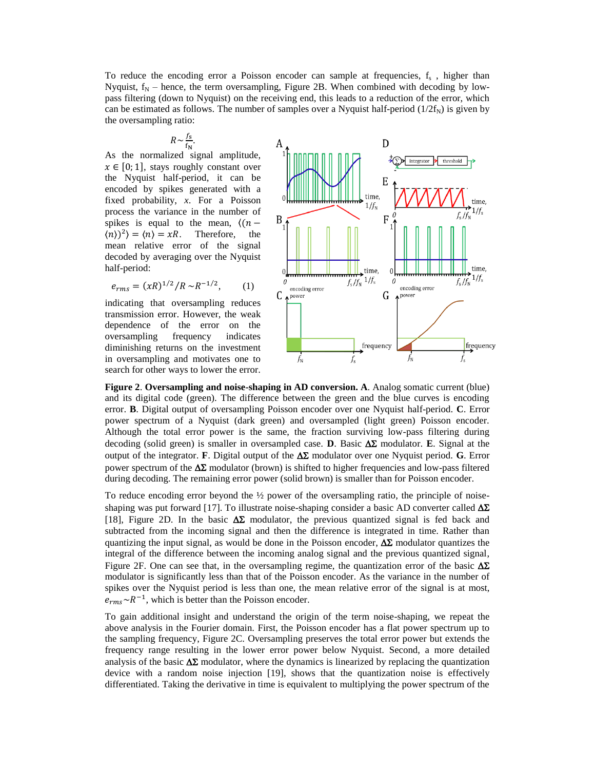To reduce the encoding error a Poisson encoder can sample at frequencies,  $f_s$ , higher than Nyquist,  $f_N$  – hence, the term oversampling, Figure 2B. When combined with decoding by lowpass filtering (down to Nyquist) on the receiving end, this leads to a reduction of the error, which can be estimated as follows. The number of samples over a Nyquist half-period  $(1/2f_N)$  is given by the oversampling ratio:

$$
R \sim \frac{f_{\rm s}}{f_{\rm N}}
$$

.

As the normalized signal amplitude,  $x \in [0, 1]$ , stays roughly constant over the Nyquist half-period, it can be encoded by spikes generated with a fixed probability, *x*. For a Poisson process the variance in the number of spikes is equal to the mean,  $\langle (n \langle n \rangle^2$  =  $\langle n \rangle = xR$ . Therefore, the mean relative error of the signal decoded by averaging over the Nyquist half-period:

$$
e_{rms} = (xR)^{1/2}/R \sim R^{-1/2}, \qquad (1)
$$

indicating that oversampling reduces transmission error. However, the weak dependence of the error on the oversampling frequency indicates diminishing returns on the investment in oversampling and motivates one to search for other ways to lower the error.



**Figure 2**. **Oversampling and noise-shaping in AD conversion. A**. Analog somatic current (blue) and its digital code (green). The difference between the green and the blue curves is encoding error. **B**. Digital output of oversampling Poisson encoder over one Nyquist half-period. **C**. Error power spectrum of a Nyquist (dark green) and oversampled (light green) Poisson encoder. Although the total error power is the same, the fraction surviving low-pass filtering during decoding (solid green) is smaller in oversampled case. **D**. Basic  $\Delta \Sigma$  modulator. **E**. Signal at the output of the integrator. **F**. Digital output of the  $\Delta\Sigma$  modulator over one Nyquist period. **G**. Error power spectrum of the  $\Delta\Sigma$  modulator (brown) is shifted to higher frequencies and low-pass filtered during decoding. The remaining error power (solid brown) is smaller than for Poisson encoder.

To reduce encoding error beyond the  $\frac{1}{2}$  power of the oversampling ratio, the principle of noise-shaping was put forward [\[17\]](#page-7-12). To illustrate noise-shaping consider a basic AD converter called  $\Delta\Sigma$ [\[18\]](#page-8-0), Figure 2D. In the basic  $\Delta \Sigma$  modulator, the previous quantized signal is fed back and subtracted from the incoming signal and then the difference is integrated in time. Rather than quantizing the input signal, as would be done in the Poisson encoder,  $\Delta\Sigma$  modulator quantizes the integral of the difference between the incoming analog signal and the previous quantized signal, Figure 2F. One can see that, in the oversampling regime, the quantization error of the basic  $\Delta\Sigma$ modulator is significantly less than that of the Poisson encoder. As the variance in the number of spikes over the Nyquist period is less than one, the mean relative error of the signal is at most,  $e_{rms} \sim R^{-1}$ , which is better than the Poisson encoder.

To gain additional insight and understand the origin of the term noise-shaping, we repeat the above analysis in the Fourier domain. First, the Poisson encoder has a flat power spectrum up to the sampling frequency, Figure 2C. Oversampling preserves the total error power but extends the frequency range resulting in the lower error power below Nyquist. Second, a more detailed analysis of the basic  $\Delta\Sigma$  modulator, where the dynamics is linearized by replacing the quantization device with a random noise injection [\[19\]](#page-8-1), shows that the quantization noise is effectively differentiated. Taking the derivative in time is equivalent to multiplying the power spectrum of the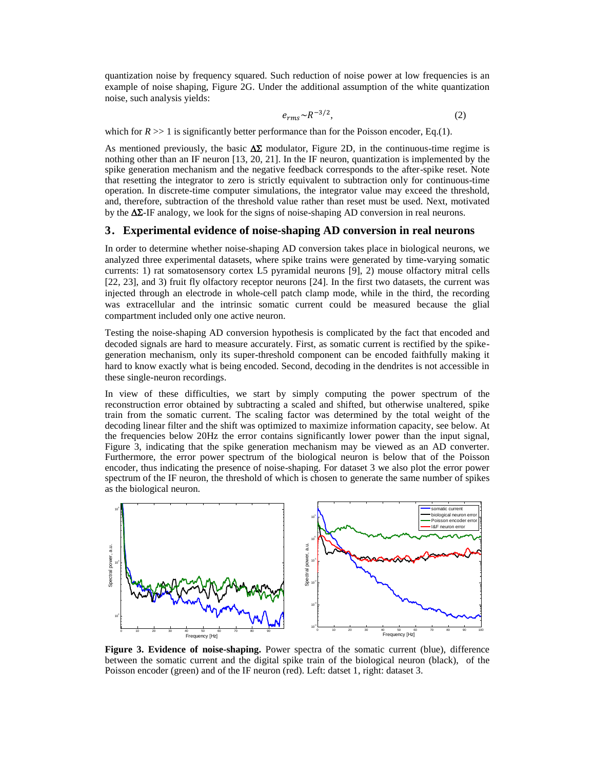quantization noise by frequency squared. Such reduction of noise power at low frequencies is an example of noise shaping, Figure 2G. Under the additional assumption of the white quantization noise, such analysis yields:

$$
e_{rms} \sim R^{-3/2},\tag{2}
$$

which for  $R \gg 1$  is significantly better performance than for the Poisson encoder, Eq.(1).

As mentioned previously, the basic  $\Delta\Sigma$  modulator, Figure 2D, in the continuous-time regime is nothing other than an IF neuron [\[13,](#page-7-10) [20,](#page-8-2) [21\]](#page-8-3). In the IF neuron, quantization is implemented by the spike generation mechanism and the negative feedback corresponds to the after-spike reset. Note that resetting the integrator to zero is strictly equivalent to subtraction only for continuous-time operation. In discrete-time computer simulations, the integrator value may exceed the threshold, and, therefore, subtraction of the threshold value rather than reset must be used. Next, motivated by the  $\Delta\Sigma$ -IF analogy, we look for the signs of noise-shaping AD conversion in real neurons.

### **3. Experimental evidence of noise-shaping AD conversion in real neurons**

In order to determine whether noise-shaping AD conversion takes place in biological neurons, we analyzed three experimental datasets, where spike trains were generated by time-varying somatic currents: 1) rat somatosensory cortex L5 pyramidal neurons [\[9\]](#page-7-6), 2) mouse olfactory mitral cells [\[22,](#page-8-4) [23\]](#page-8-5), and 3) fruit fly olfactory receptor neurons [\[24\]](#page-8-6). In the first two datasets, the current was injected through an electrode in whole-cell patch clamp mode, while in the third, the recording was extracellular and the intrinsic somatic current could be measured because the glial compartment included only one active neuron.

Testing the noise-shaping AD conversion hypothesis is complicated by the fact that encoded and decoded signals are hard to measure accurately. First, as somatic current is rectified by the spikegeneration mechanism, only its super-threshold component can be encoded faithfully making it hard to know exactly what is being encoded. Second, decoding in the dendrites is not accessible in these single-neuron recordings.

In view of these difficulties, we start by simply computing the power spectrum of the reconstruction error obtained by subtracting a scaled and shifted, but otherwise unaltered, spike train from the somatic current. The scaling factor was determined by the total weight of the decoding linear filter and the shift was optimized to maximize information capacity, see below. At the frequencies below 20Hz the error contains significantly lower power than the input signal, Figure 3, indicating that the spike generation mechanism may be viewed as an AD converter. Furthermore, the error power spectrum of the biological neuron is below that of the Poisson encoder, thus indicating the presence of noise-shaping. For dataset 3 we also plot the error power spectrum of the IF neuron, the threshold of which is chosen to generate the same number of spikes as the biological neuron.



**Figure 3. Evidence of noise-shaping.** Power spectra of the somatic current (blue), difference between the somatic current and the digital spike train of the biological neuron (black), of the Poisson encoder (green) and of the IF neuron (red). Left: datset 1, right: dataset 3.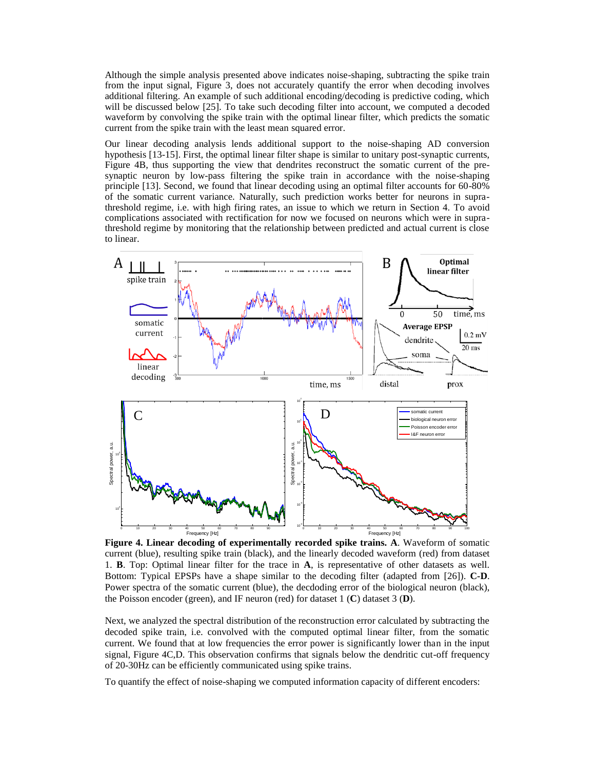Although the simple analysis presented above indicates noise-shaping, subtracting the spike train from the input signal, Figure 3, does not accurately quantify the error when decoding involves additional filtering. An example of such additional encoding/decoding is predictive coding, which will be discussed below [\[25\]](#page-8-7). To take such decoding filter into account, we computed a decoded waveform by convolving the spike train with the optimal linear filter, which predicts the somatic current from the spike train with the least mean squared error.

Our linear decoding analysis lends additional support to the noise-shaping AD conversion hypothesis [\[13-15\]](#page-7-10). First, the optimal linear filter shape is similar to unitary post-synaptic currents, Figure 4B, thus supporting the view that dendrites reconstruct the somatic current of the presynaptic neuron by low-pass filtering the spike train in accordance with the noise-shaping principle [\[13\]](#page-7-10). Second, we found that linear decoding using an optimal filter accounts for 60-80% of the somatic current variance. Naturally, such prediction works better for neurons in suprathreshold regime, i.e. with high firing rates, an issue to which we return in Section 4. To avoid complications associated with rectification for now we focused on neurons which were in suprathreshold regime by monitoring that the relationship between predicted and actual current is close to linear.



**Figure 4. Linear decoding of experimentally recorded spike trains. A**. Waveform of somatic current (blue), resulting spike train (black), and the linearly decoded waveform (red) from dataset 1. **B**. Top: Optimal linear filter for the trace in **A**, is representative of other datasets as well. Bottom: Typical EPSPs have a shape similar to the decoding filter (adapted from [\[26\]](#page-8-8)). **C-D**. Power spectra of the somatic current (blue), the decdoding error of the biological neuron (black), the Poisson encoder (green), and IF neuron (red) for dataset 1 (**C**) dataset 3 (**D**).

Next, we analyzed the spectral distribution of the reconstruction error calculated by subtracting the decoded spike train, i.e. convolved with the computed optimal linear filter, from the somatic current. We found that at low frequencies the error power is significantly lower than in the input signal, Figure 4C,D. This observation confirms that signals below the dendritic cut-off frequency of 20-30Hz can be efficiently communicated using spike trains.

To quantify the effect of noise-shaping we computed information capacity of different encoders: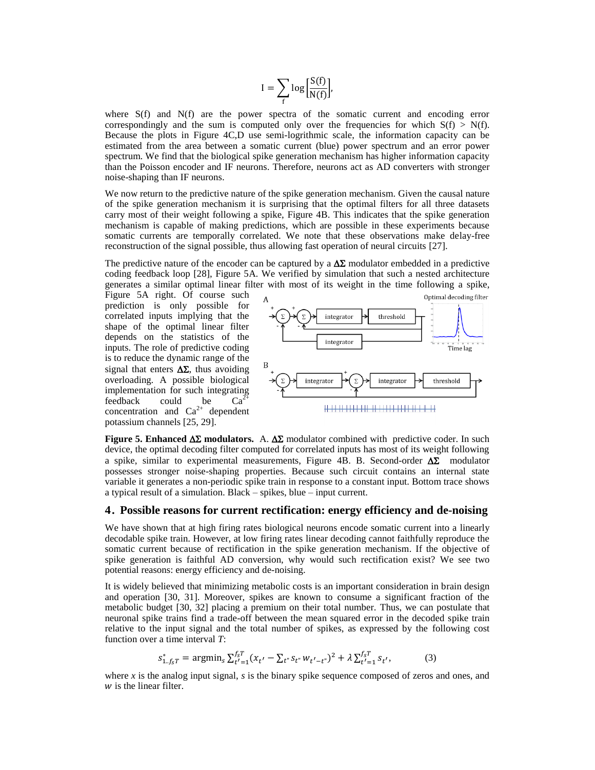$$
I = \sum_{f} \log \left[ \frac{S(f)}{N(f)} \right],
$$

where S(f) and N(f) are the power spectra of the somatic current and encoding error correspondingly and the sum is computed only over the frequencies for which  $S(f) > N(f)$ . Because the plots in Figure 4C,D use semi-logrithmic scale, the information capacity can be estimated from the area between a somatic current (blue) power spectrum and an error power spectrum. We find that the biological spike generation mechanism has higher information capacity than the Poisson encoder and IF neurons. Therefore, neurons act as AD converters with stronger noise-shaping than IF neurons.

We now return to the predictive nature of the spike generation mechanism. Given the causal nature of the spike generation mechanism it is surprising that the optimal filters for all three datasets carry most of their weight following a spike, Figure 4B. This indicates that the spike generation mechanism is capable of making predictions, which are possible in these experiments because somatic currents are temporally correlated. We note that these observations make delay-free reconstruction of the signal possible, thus allowing fast operation of neural circuits [\[27\]](#page-8-9).

The predictive nature of the encoder can be captured by a  $\Delta\Sigma$  modulator embedded in a predictive coding feedback loop [\[28\]](#page-8-10), Figure 5A. We verified by simulation that such a nested architecture generates a similar optimal linear filter with most of its weight in the time following a spike,

Figure 5A right. Of course such prediction is only possible for correlated inputs implying that the shape of the optimal linear filter depends on the statistics of the inputs. The role of predictive coding is to reduce the dynamic range of the signal that enters  $\Delta\Sigma$ , thus avoiding overloading. A possible biological implementation for such integrating<br>feedback could be  $Ca^{2+}$  $feedback$  could be  $Ca<sup>2</sup>$ concentration and  $Ca^{2+}$  dependent potassium channels [\[25,](#page-8-7) [29\]](#page-8-11).



**Figure 5. Enhanced**  $\Delta \Sigma$  **modulators.** A.  $\Delta \Sigma$  modulator combined with predictive coder. In such device, the optimal decoding filter computed for correlated inputs has most of its weight following a spike, similar to experimental measurements, Figure 4B. B. Second-order  $\Delta\Sigma$  modulator possesses stronger noise-shaping properties. Because such circuit contains an internal state variable it generates a non-periodic spike train in response to a constant input. Bottom trace shows a typical result of a simulation. Black – spikes, blue – input current.

#### **4. Possible reasons for current rectification: energy efficiency and de-noising**

We have shown that at high firing rates biological neurons encode somatic current into a linearly decodable spike train. However, at low firing rates linear decoding cannot faithfully reproduce the somatic current because of rectification in the spike generation mechanism. If the objective of spike generation is faithful AD conversion, why would such rectification exist? We see two potential reasons: energy efficiency and de-noising.

It is widely believed that minimizing metabolic costs is an important consideration in brain design and operation [\[30,](#page-8-12) [31\]](#page-8-13). Moreover, spikes are known to consume a significant fraction of the metabolic budget [\[30,](#page-8-12) [32\]](#page-8-14) placing a premium on their total number. Thus, we can postulate that neuronal spike trains find a trade-off between the mean squared error in the decoded spike train relative to the input signal and the total number of spikes, as expressed by the following cost function over a time interval *T*:

$$
s_{1 \ldots f_S T}^* = \operatorname{argmin}_s \sum_{t'=1}^{f_S T} (x_{t'} - \sum_{t''} s_{t''} w_{t'-t''})^2 + \lambda \sum_{t'=1}^{f_S T} s_{t'},
$$
(3)

where *x* is the analog input signal, *s* is the binary spike sequence composed of zeros and ones, and  $w$  is the linear filter.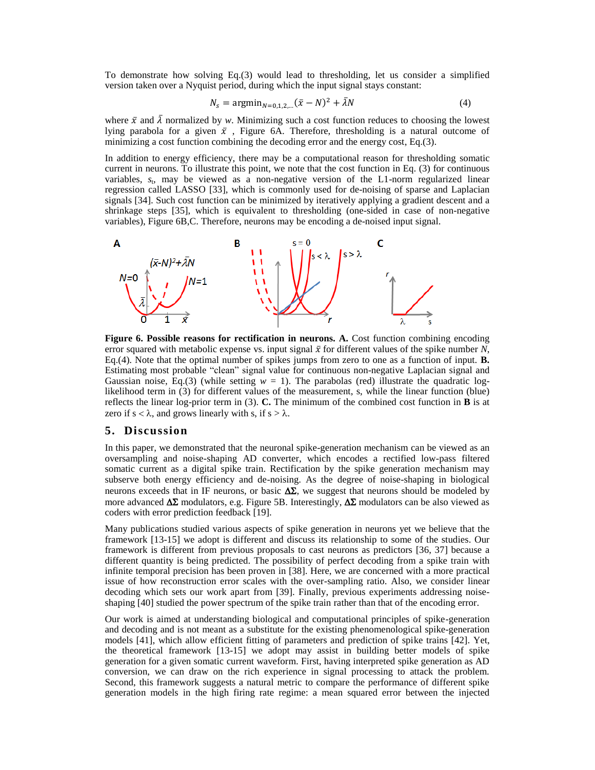To demonstrate how solving Eq.(3) would lead to thresholding, let us consider a simplified version taken over a Nyquist period, during which the input signal stays constant:

$$
N_s = \text{argmin}_{N=0.1.2...} (\bar{x} - N)^2 + \bar{\lambda}N \tag{4}
$$

where  $\bar{x}$  and  $\bar{\lambda}$  normalized by *w*. Minimizing such a cost function reduces to choosing the lowest lying parabola for a given  $\bar{x}$ , Figure 6A. Therefore, thresholding is a natural outcome of minimizing a cost function combining the decoding error and the energy cost, Eq.(3).

In addition to energy efficiency, there may be a computational reason for thresholding somatic current in neurons. To illustrate this point, we note that the cost function in Eq. (3) for continuous variables,  $s_t$ , may be viewed as a non-negative version of the L1-norm regularized linear regression called LASSO [\[33\]](#page-8-15), which is commonly used for de-noising of sparse and Laplacian signals [\[34\]](#page-8-16). Such cost function can be minimized by iteratively applying a gradient descent and a shrinkage steps [\[35\]](#page-8-17), which is equivalent to thresholding (one-sided in case of non-negative variables), Figure 6B,C. Therefore, neurons may be encoding a de-noised input signal.



**Figure 6. Possible reasons for rectification in neurons. A.** Cost function combining encoding error squared with metabolic expense vs. input signal  $\bar{x}$  for different values of the spike number N, Eq.(4). Note that the optimal number of spikes jumps from zero to one as a function of input. **B.** Estimating most probable "clean" signal value for continuous non-negative Laplacian signal and Gaussian noise, Eq.(3) (while setting  $w = 1$ ). The parabolas (red) illustrate the quadratic loglikelihood term in (3) for different values of the measurement, s, while the linear function (blue) reflects the linear log-prior term in (3). **C.** The minimum of the combined cost function in **B** is at zero if  $s < \lambda$ , and grows linearly with s, if  $s > \lambda$ .

#### **5. Discussion**

In this paper, we demonstrated that the neuronal spike-generation mechanism can be viewed as an oversampling and noise-shaping AD converter, which encodes a rectified low-pass filtered somatic current as a digital spike train. Rectification by the spike generation mechanism may subserve both energy efficiency and de-noising. As the degree of noise-shaping in biological neurons exceeds that in IF neurons, or basic  $\Delta \Sigma$ , we suggest that neurons should be modeled by more advanced  $\Delta\Sigma$  modulators, e.g. Figure 5B. Interestingly,  $\Delta\Sigma$  modulators can be also viewed as coders with error prediction feedback [\[19\]](#page-8-1).

Many publications studied various aspects of spike generation in neurons yet we believe that the framework [\[13-15\]](#page-7-10) we adopt is different and discuss its relationship to some of the studies. Our framework is different from previous proposals to cast neurons as predictors [\[36,](#page-8-18) [37\]](#page-8-19) because a different quantity is being predicted. The possibility of perfect decoding from a spike train with infinite temporal precision has been proven in [\[38\]](#page-8-20). Here, we are concerned with a more practical issue of how reconstruction error scales with the over-sampling ratio. Also, we consider linear decoding which sets our work apart from [\[39\]](#page-8-21). Finally, previous experiments addressing noiseshaping [\[40\]](#page-8-22) studied the power spectrum of the spike train rather than that of the encoding error.

Our work is aimed at understanding biological and computational principles of spike-generation and decoding and is not meant as a substitute for the existing phenomenological spike-generation models [\[41\]](#page-8-23), which allow efficient fitting of parameters and prediction of spike trains [\[42\]](#page-8-24). Yet, the theoretical framework [\[13-15\]](#page-7-10) we adopt may assist in building better models of spike generation for a given somatic current waveform. First, having interpreted spike generation as AD conversion, we can draw on the rich experience in signal processing to attack the problem. Second, this framework suggests a natural metric to compare the performance of different spike generation models in the high firing rate regime: a mean squared error between the injected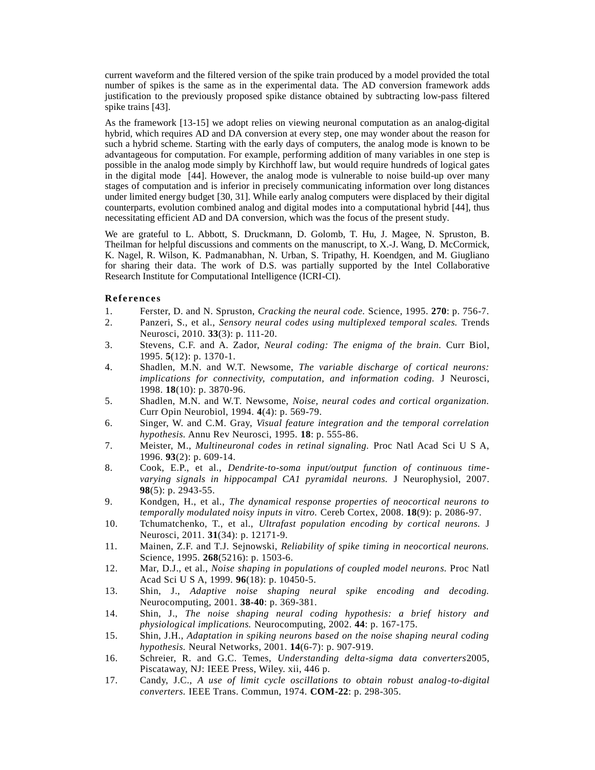current waveform and the filtered version of the spike train produced by a model provided the total number of spikes is the same as in the experimental data. The AD conversion framework adds justification to the previously proposed spike distance obtained by subtracting low-pass filtered spike trains [\[43\]](#page-8-25).

As the framework [\[13-15\]](#page-7-10) we adopt relies on viewing neuronal computation as an analog-digital hybrid, which requires AD and DA conversion at every step, one may wonder about the reason for such a hybrid scheme. Starting with the early days of computers, the analog mode is known to be advantageous for computation. For example, performing addition of many variables in one step is possible in the analog mode simply by Kirchhoff law, but would require hundreds of logical gates in the digital mode [\[44\]](#page-8-26). However, the analog mode is vulnerable to noise build-up over many stages of computation and is inferior in precisely communicating information over long distances under limited energy budget [\[30,](#page-8-12) [31\]](#page-8-13). While early analog computers were displaced by their digital counterparts, evolution combined analog and digital modes into a computational hybrid [\[44\]](#page-8-26), thus necessitating efficient AD and DA conversion, which was the focus of the present study.

We are grateful to L. Abbott, S. Druckmann, D. Golomb, T. Hu, J. Magee, N. Spruston, B. Theilman for helpful discussions and comments on the manuscript, to X.-J. Wang, D. McCormick, K. Nagel, R. Wilson, K. Padmanabhan, N. Urban, S. Tripathy, H. Koendgen, and M. Giugliano for sharing their data. The work of D.S. was partially supported by the Intel Collaborative Research Institute for Computational Intelligence (ICRI-CI).

### **References**

- <span id="page-7-0"></span>1. Ferster, D. and N. Spruston, *Cracking the neural code.* Science, 1995. **270**: p. 756-7.
- 2. Panzeri, S., et al., *Sensory neural codes using multiplexed temporal scales.* Trends Neurosci, 2010. **33**(3): p. 111-20.
- 3. Stevens, C.F. and A. Zador, *Neural coding: The enigma of the brain.* Curr Biol, 1995. **5**(12): p. 1370-1.
- <span id="page-7-1"></span>4. Shadlen, M.N. and W.T. Newsome, *The variable discharge of cortical neurons: implications for connectivity, computation, and information coding.* J Neurosci, 1998. **18**(10): p. 3870-96.
- <span id="page-7-2"></span>5. Shadlen, M.N. and W.T. Newsome, *Noise, neural codes and cortical organization.* Curr Opin Neurobiol, 1994. **4**(4): p. 569-79.
- <span id="page-7-3"></span>6. Singer, W. and C.M. Gray, *Visual feature integration and the temporal correlation hypothesis.* Annu Rev Neurosci, 1995. **18**: p. 555-86.
- <span id="page-7-4"></span>7. Meister, M., *Multineuronal codes in retinal signaling.* Proc Natl Acad Sci U S A, 1996. **93**(2): p. 609-14.
- <span id="page-7-5"></span>8. Cook, E.P., et al., *Dendrite-to-soma input/output function of continuous timevarying signals in hippocampal CA1 pyramidal neurons.* J Neurophysiol, 2007. **98**(5): p. 2943-55.
- <span id="page-7-6"></span>9. Kondgen, H., et al., *The dynamical response properties of neocortical neurons to temporally modulated noisy inputs in vitro.* Cereb Cortex, 2008. **18**(9): p. 2086-97.
- <span id="page-7-7"></span>10. Tchumatchenko, T., et al., *Ultrafast population encoding by cortical neurons.* J Neurosci, 2011. **31**(34): p. 12171-9.
- <span id="page-7-8"></span>11. Mainen, Z.F. and T.J. Sejnowski, *Reliability of spike timing in neocortical neurons.* Science, 1995. **268**(5216): p. 1503-6.
- <span id="page-7-9"></span>12. Mar, D.J., et al., *Noise shaping in populations of coupled model neurons.* Proc Natl Acad Sci U S A, 1999. **96**(18): p. 10450-5.
- <span id="page-7-10"></span>13. Shin, J., *Adaptive noise shaping neural spike encoding and decoding.* Neurocomputing, 2001. **38-40**: p. 369-381.
- 14. Shin, J., *The noise shaping neural coding hypothesis: a brief history and physiological implications.* Neurocomputing, 2002. **44**: p. 167-175.
- 15. Shin, J.H., *Adaptation in spiking neurons based on the noise shaping neural coding hypothesis.* Neural Networks, 2001. **14**(6-7): p. 907-919.
- <span id="page-7-11"></span>16. Schreier, R. and G.C. Temes, *Understanding delta-sigma data converters*2005, Piscataway, NJ: IEEE Press, Wiley. xii, 446 p.
- <span id="page-7-12"></span>17. Candy, J.C., *A use of limit cycle oscillations to obtain robust analog-to-digital converters.* IEEE Trans. Commun, 1974. **COM-22**: p. 298-305.